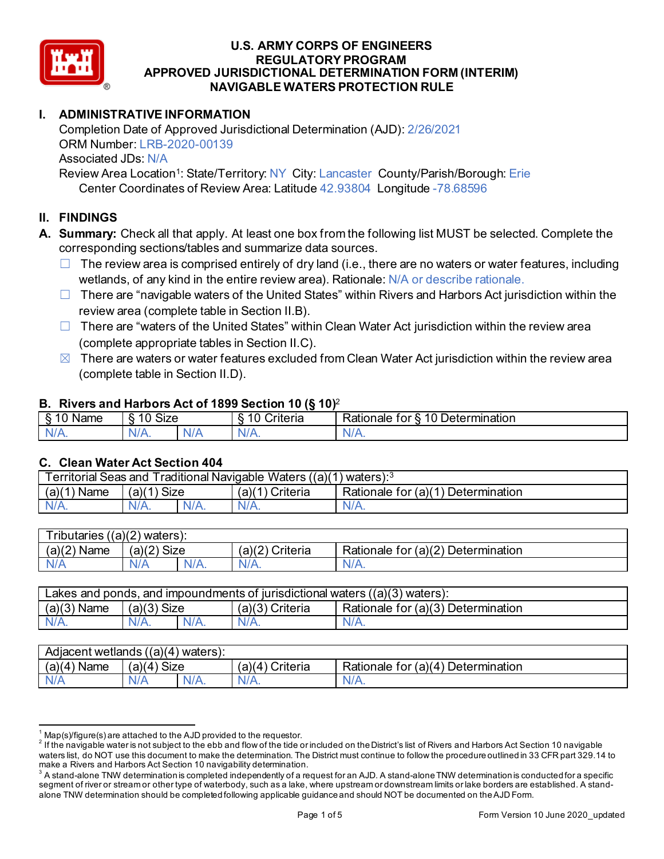

## **I. ADMINISTRATIVE INFORMATION**

Completion Date of Approved Jurisdictional Determination (AJD): 2/26/2021 ORM Number: LRB-2020-00139 Associated JDs: N/A

Review Area Location<sup>1</sup>: State/Territory: NY City: Lancaster County/Parish/Borough: Erie Center Coordinates of Review Area: Latitude 42.93804 Longitude -78.68596

## **II. FINDINGS**

- **A. Summary:** Check all that apply. At least one box from the following list MUST be selected. Complete the corresponding sections/tables and summarize data sources.
	- $\Box$  The review area is comprised entirely of dry land (i.e., there are no waters or water features, including wetlands, of any kind in the entire review area). Rationale: N/A or describe rationale.
	- $\Box$  There are "navigable waters of the United States" within Rivers and Harbors Act jurisdiction within the review area (complete table in Section II.B).
	- $\Box$  There are "waters of the United States" within Clean Water Act jurisdiction within the review area (complete appropriate tables in Section II.C).
	- $\boxtimes$  There are waters or water features excluded from Clean Water Act jurisdiction within the review area (complete table in Section II.D).

#### **B. Rivers and Harbors Act of 1899 Section 10 (§ 10)**<sup>2</sup>

| $\cdot$         |                                    |     |                                          |                                                          |  |  |  |
|-----------------|------------------------------------|-----|------------------------------------------|----------------------------------------------------------|--|--|--|
| Name<br>-<br>., | $\ddot{\phantom{1}}$<br>10<br>SIZE |     | 10<br>- -<br>r<br>`rıtarın.<br>∼<br>lena | 10<br>-<br>_<br><b>Determination</b><br>ror<br>kationale |  |  |  |
| N/f<br>. .      | $N/A$ .                            | xı. | ND<br>.                                  | N<br>11 I N.                                             |  |  |  |

### **C. Clean Water Act Section 404**

| <b>Territorial Seas and</b><br>Traditional Navigable Waters $((a)(1)$ waters): $3$ |                |         |                    |                                         |  |  |
|------------------------------------------------------------------------------------|----------------|---------|--------------------|-----------------------------------------|--|--|
| (a)(1)<br>Name                                                                     | Size<br>(a)(1) |         | (a)(1)<br>Criteria | Determination<br>Rationale for $(a)(1)$ |  |  |
| $N/A$ .                                                                            | $N/A$ .        | $N/A$ . | $N/A$ .            | N/A.                                    |  |  |

| $T$ ributaries<br>((a)(2)<br>waters). |             |         |                    |                                                         |  |  |
|---------------------------------------|-------------|---------|--------------------|---------------------------------------------------------|--|--|
| (a)(2)<br>Name                        | (a)(2) Size |         | (a)(2)<br>Criteria | for (a)(2) $\overline{ }$<br>Determination<br>Rationale |  |  |
| N/A                                   | A\V         | $N/A$ . | $N/A$ .            | N/A.                                                    |  |  |

| Lakes and ponds, and impoundments of jurisdictional waters $((a)(3)$ waters): |               |         |                 |                                    |  |  |
|-------------------------------------------------------------------------------|---------------|---------|-----------------|------------------------------------|--|--|
| $(a)(3)$ Name                                                                 | $(a)(3)$ Size |         | (a)(3) Criteria | Rationale for (a)(3) Determination |  |  |
| $N/A$ .                                                                       | $N/A$ .       | $N/A$ . | $N/A$ .         | N/A.                               |  |  |

| Adjacent wetlands ((a)(4) waters): |                      |         |                                    |                                         |  |  |  |
|------------------------------------|----------------------|---------|------------------------------------|-----------------------------------------|--|--|--|
| (a)(4)<br>Name                     | <b>Size</b><br>'a)(4 |         | Criteria<br>(a)(<br>$\overline{4}$ | Determination<br>Rationale for $(a)(4)$ |  |  |  |
| N/A                                | N/A                  | $N/A$ . | $N/A$ .                            | N/A.                                    |  |  |  |

 $^1$  Map(s)/figure(s) are attached to the AJD provided to the requestor.<br><sup>2</sup> If the navigable water is not subject to the ebb and flow of the tide or included on the District's list of Rivers and Harbors Act Section 10 na waters list, do NOT use this document to make the determination. The District must continue to follow the procedure outlined in 33 CFR part 329.14 to make a Rivers and Harbors Act Section 10 navigability determination.

 $^3$  A stand-alone TNW determination is completed independently of a request for an AJD. A stand-alone TNW determination is conducted for a specific segment of river or stream or other type of waterbody, such as a lake, where upstream or downstream limits or lake borders are established. A standalone TNW determination should be completed following applicable guidance and should NOT be documented on the AJD Form.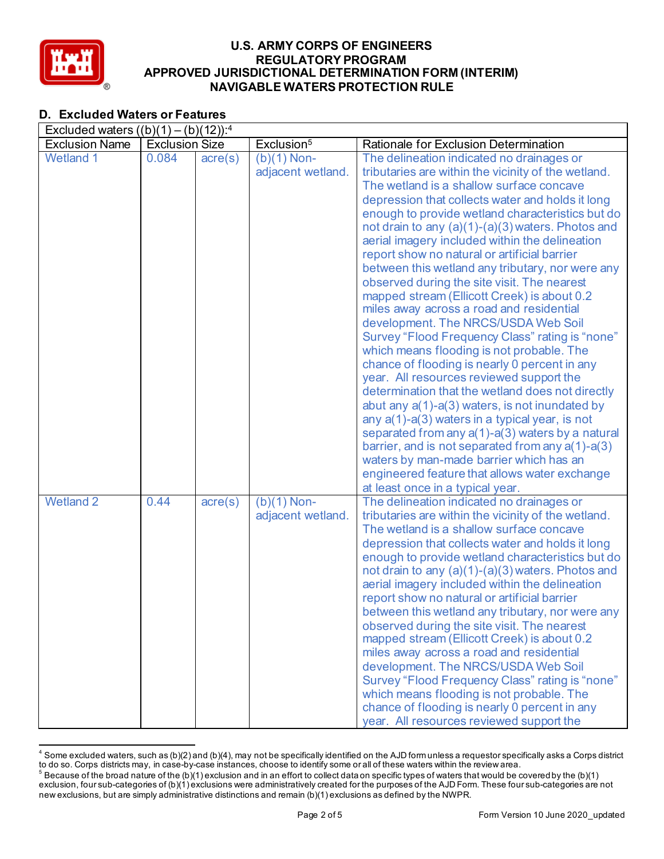

## **D. Excluded Waters or Features**

| Excluded waters $((b)(1) - (b)(12))$ : <sup>4</sup> |                       |                      |                        |                                                                                                       |  |  |  |
|-----------------------------------------------------|-----------------------|----------------------|------------------------|-------------------------------------------------------------------------------------------------------|--|--|--|
| <b>Exclusion Name</b>                               | <b>Exclusion Size</b> |                      | Exclusion <sup>5</sup> | Rationale for Exclusion Determination                                                                 |  |  |  |
| <b>Wetland 1</b>                                    | 0.084                 | $\text{acre}(s)$     | $(b)(1)$ Non-          | The delineation indicated no drainages or                                                             |  |  |  |
|                                                     |                       |                      | adjacent wetland.      | tributaries are within the vicinity of the wetland.                                                   |  |  |  |
|                                                     |                       |                      |                        | The wetland is a shallow surface concave                                                              |  |  |  |
|                                                     |                       |                      |                        | depression that collects water and holds it long                                                      |  |  |  |
|                                                     |                       |                      |                        | enough to provide wetland characteristics but do                                                      |  |  |  |
|                                                     |                       |                      |                        | not drain to any (a)(1)-(a)(3) waters. Photos and                                                     |  |  |  |
|                                                     |                       |                      |                        | aerial imagery included within the delineation                                                        |  |  |  |
|                                                     |                       |                      |                        | report show no natural or artificial barrier                                                          |  |  |  |
|                                                     |                       |                      |                        | between this wetland any tributary, nor were any                                                      |  |  |  |
|                                                     |                       |                      |                        | observed during the site visit. The nearest                                                           |  |  |  |
|                                                     |                       |                      |                        | mapped stream (Ellicott Creek) is about 0.2                                                           |  |  |  |
|                                                     |                       |                      |                        | miles away across a road and residential<br>development. The NRCS/USDA Web Soil                       |  |  |  |
|                                                     |                       |                      |                        | Survey "Flood Frequency Class" rating is "none"                                                       |  |  |  |
|                                                     |                       |                      |                        | which means flooding is not probable. The                                                             |  |  |  |
|                                                     |                       |                      |                        | chance of flooding is nearly 0 percent in any                                                         |  |  |  |
|                                                     |                       |                      |                        | year. All resources reviewed support the                                                              |  |  |  |
|                                                     |                       |                      |                        | determination that the wetland does not directly                                                      |  |  |  |
|                                                     |                       |                      |                        | abut any a(1)-a(3) waters, is not inundated by                                                        |  |  |  |
|                                                     |                       |                      |                        | any $a(1)$ -a(3) waters in a typical year, is not                                                     |  |  |  |
|                                                     |                       |                      |                        | separated from any a(1)-a(3) waters by a natural                                                      |  |  |  |
|                                                     |                       |                      |                        | barrier, and is not separated from any $a(1)$ -a(3)                                                   |  |  |  |
|                                                     |                       |                      |                        | waters by man-made barrier which has an                                                               |  |  |  |
|                                                     |                       |                      |                        | engineered feature that allows water exchange                                                         |  |  |  |
|                                                     |                       |                      |                        | at least once in a typical year.                                                                      |  |  |  |
| <b>Wetland 2</b>                                    | 0.44                  | $\overline{acre}(s)$ | $(b)(1)$ Non-          | The delineation indicated no drainages or                                                             |  |  |  |
|                                                     |                       |                      | adjacent wetland.      | tributaries are within the vicinity of the wetland.                                                   |  |  |  |
|                                                     |                       |                      |                        | The wetland is a shallow surface concave                                                              |  |  |  |
|                                                     |                       |                      |                        | depression that collects water and holds it long                                                      |  |  |  |
|                                                     |                       |                      |                        | enough to provide wetland characteristics but do                                                      |  |  |  |
|                                                     |                       |                      |                        | not drain to any $(a)(1)-(a)(3)$ waters. Photos and<br>aerial imagery included within the delineation |  |  |  |
|                                                     |                       |                      |                        | report show no natural or artificial barrier                                                          |  |  |  |
|                                                     |                       |                      |                        | between this wetland any tributary, nor were any                                                      |  |  |  |
|                                                     |                       |                      |                        | observed during the site visit. The nearest                                                           |  |  |  |
|                                                     |                       |                      |                        | mapped stream (Ellicott Creek) is about 0.2                                                           |  |  |  |
|                                                     |                       |                      |                        | miles away across a road and residential                                                              |  |  |  |
|                                                     |                       |                      |                        | development. The NRCS/USDA Web Soil                                                                   |  |  |  |
|                                                     |                       |                      |                        | Survey "Flood Frequency Class" rating is "none"                                                       |  |  |  |
|                                                     |                       |                      |                        | which means flooding is not probable. The                                                             |  |  |  |
|                                                     |                       |                      |                        | chance of flooding is nearly 0 percent in any                                                         |  |  |  |
|                                                     |                       |                      |                        | year. All resources reviewed support the                                                              |  |  |  |

 $^4$  Some excluded waters, such as (b)(2) and (b)(4), may not be specifically identified on the AJD form unless a requestor specifically asks a Corps district to do so. Corps districts may, in case-by-case instances, choose to identify some or all of these waters within the review area.

 $^5$  Because of the broad nature of the (b)(1) exclusion and in an effort to collect data on specific types of waters that would be covered by the (b)(1) exclusion, four sub-categories of (b)(1) exclusions were administratively created for the purposes of the AJD Form. These four sub-categories are not new exclusions, but are simply administrative distinctions and remain (b)(1) exclusions as defined by the NWPR.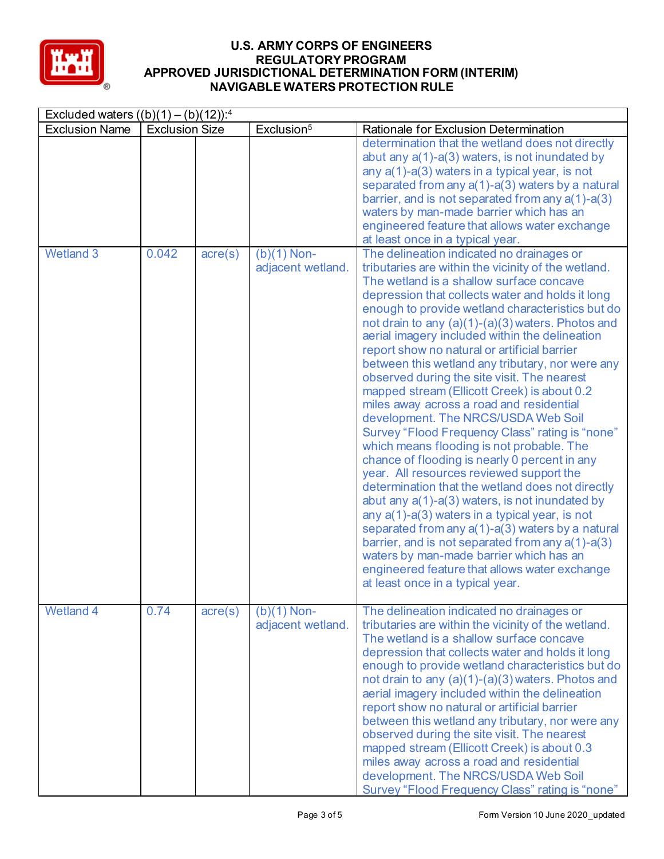

| Excluded waters $((b)(1) - (b)(12))$ : <sup>4</sup> |                       |         |                                    |                                                                                                                                                                                                                                                                                                                                                                                                                                                                                                                                                                                                                                                                                                                                                                                                                                                                                                                                                                                                                                                                                                                                                                                                                                               |  |
|-----------------------------------------------------|-----------------------|---------|------------------------------------|-----------------------------------------------------------------------------------------------------------------------------------------------------------------------------------------------------------------------------------------------------------------------------------------------------------------------------------------------------------------------------------------------------------------------------------------------------------------------------------------------------------------------------------------------------------------------------------------------------------------------------------------------------------------------------------------------------------------------------------------------------------------------------------------------------------------------------------------------------------------------------------------------------------------------------------------------------------------------------------------------------------------------------------------------------------------------------------------------------------------------------------------------------------------------------------------------------------------------------------------------|--|
| <b>Exclusion Name</b>                               | <b>Exclusion Size</b> |         | Exclusion <sup>5</sup>             | Rationale for Exclusion Determination                                                                                                                                                                                                                                                                                                                                                                                                                                                                                                                                                                                                                                                                                                                                                                                                                                                                                                                                                                                                                                                                                                                                                                                                         |  |
|                                                     |                       |         |                                    | determination that the wetland does not directly<br>abut any a(1)-a(3) waters, is not inundated by<br>any $a(1)$ -a(3) waters in a typical year, is not<br>separated from any a(1)-a(3) waters by a natural<br>barrier, and is not separated from any $a(1)$ -a(3)<br>waters by man-made barrier which has an<br>engineered feature that allows water exchange<br>at least once in a typical year.                                                                                                                                                                                                                                                                                                                                                                                                                                                                                                                                                                                                                                                                                                                                                                                                                                            |  |
| <b>Wetland 3</b>                                    | 0.042                 | acre(s) | $(b)(1)$ Non-<br>adjacent wetland. | The delineation indicated no drainages or<br>tributaries are within the vicinity of the wetland.<br>The wetland is a shallow surface concave<br>depression that collects water and holds it long<br>enough to provide wetland characteristics but do<br>not drain to any (a)(1)-(a)(3) waters. Photos and<br>aerial imagery included within the delineation<br>report show no natural or artificial barrier<br>between this wetland any tributary, nor were any<br>observed during the site visit. The nearest<br>mapped stream (Ellicott Creek) is about 0.2<br>miles away across a road and residential<br>development. The NRCS/USDA Web Soil<br>Survey "Flood Frequency Class" rating is "none"<br>which means flooding is not probable. The<br>chance of flooding is nearly 0 percent in any<br>year. All resources reviewed support the<br>determination that the wetland does not directly<br>abut any a(1)-a(3) waters, is not inundated by<br>any a(1)-a(3) waters in a typical year, is not<br>separated from any a(1)-a(3) waters by a natural<br>barrier, and is not separated from any a(1)-a(3)<br>waters by man-made barrier which has an<br>engineered feature that allows water exchange<br>at least once in a typical year. |  |
| <b>Wetland 4</b>                                    | 0.74                  | acre(s) | $(b)(1)$ Non-<br>adjacent wetland. | The delineation indicated no drainages or<br>tributaries are within the vicinity of the wetland.<br>The wetland is a shallow surface concave<br>depression that collects water and holds it long<br>enough to provide wetland characteristics but do<br>not drain to any (a)(1)-(a)(3) waters. Photos and<br>aerial imagery included within the delineation<br>report show no natural or artificial barrier<br>between this wetland any tributary, nor were any<br>observed during the site visit. The nearest<br>mapped stream (Ellicott Creek) is about 0.3<br>miles away across a road and residential<br>development. The NRCS/USDA Web Soil<br>Survey "Flood Frequency Class" rating is "none"                                                                                                                                                                                                                                                                                                                                                                                                                                                                                                                                           |  |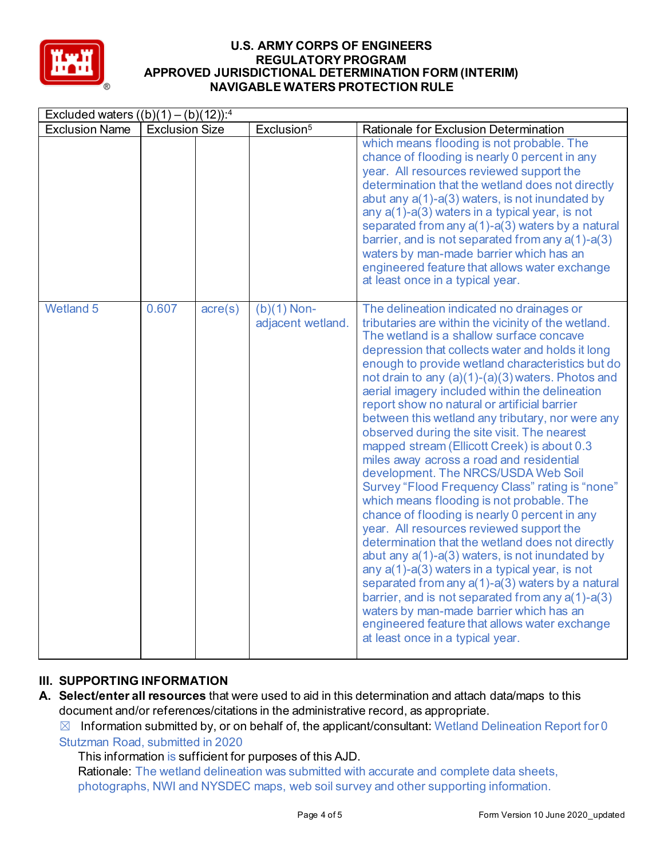

| Excluded waters $((b)(1) - (b)(12))$ : <sup>4</sup> |                       |                  |                                    |                                                                                                                                                                                                                                                                                                                                                                                                                                                                                                                                                                                                                                                                                                                                                                                                                                                                                                                                                                                                                                                                                                                                                                                                                                                          |  |  |
|-----------------------------------------------------|-----------------------|------------------|------------------------------------|----------------------------------------------------------------------------------------------------------------------------------------------------------------------------------------------------------------------------------------------------------------------------------------------------------------------------------------------------------------------------------------------------------------------------------------------------------------------------------------------------------------------------------------------------------------------------------------------------------------------------------------------------------------------------------------------------------------------------------------------------------------------------------------------------------------------------------------------------------------------------------------------------------------------------------------------------------------------------------------------------------------------------------------------------------------------------------------------------------------------------------------------------------------------------------------------------------------------------------------------------------|--|--|
| <b>Exclusion Name</b>                               | <b>Exclusion Size</b> |                  | Exclusion <sup>5</sup>             | Rationale for Exclusion Determination                                                                                                                                                                                                                                                                                                                                                                                                                                                                                                                                                                                                                                                                                                                                                                                                                                                                                                                                                                                                                                                                                                                                                                                                                    |  |  |
|                                                     |                       |                  |                                    | which means flooding is not probable. The<br>chance of flooding is nearly 0 percent in any<br>year. All resources reviewed support the<br>determination that the wetland does not directly<br>abut any a(1)-a(3) waters, is not inundated by<br>any a(1)-a(3) waters in a typical year, is not<br>separated from any $a(1)$ - $a(3)$ waters by a natural<br>barrier, and is not separated from any $a(1)$ -a(3)<br>waters by man-made barrier which has an<br>engineered feature that allows water exchange<br>at least once in a typical year.                                                                                                                                                                                                                                                                                                                                                                                                                                                                                                                                                                                                                                                                                                          |  |  |
| <b>Wetland 5</b>                                    | 0.607                 | $\text{acre}(s)$ | $(b)(1)$ Non-<br>adjacent wetland. | The delineation indicated no drainages or<br>tributaries are within the vicinity of the wetland.<br>The wetland is a shallow surface concave<br>depression that collects water and holds it long<br>enough to provide wetland characteristics but do<br>not drain to any $(a)(1)-(a)(3)$ waters. Photos and<br>aerial imagery included within the delineation<br>report show no natural or artificial barrier<br>between this wetland any tributary, nor were any<br>observed during the site visit. The nearest<br>mapped stream (Ellicott Creek) is about 0.3<br>miles away across a road and residential<br>development. The NRCS/USDA Web Soil<br>Survey "Flood Frequency Class" rating is "none"<br>which means flooding is not probable. The<br>chance of flooding is nearly 0 percent in any<br>year. All resources reviewed support the<br>determination that the wetland does not directly<br>abut any $a(1)$ - $a(3)$ waters, is not inundated by<br>any a(1)-a(3) waters in a typical year, is not<br>separated from any a(1)-a(3) waters by a natural<br>barrier, and is not separated from any $a(1)$ -a(3)<br>waters by man-made barrier which has an<br>engineered feature that allows water exchange<br>at least once in a typical year. |  |  |

# **III. SUPPORTING INFORMATION**

**A. Select/enter all resources** that were used to aid in this determination and attach data/maps to this document and/or references/citations in the administrative record, as appropriate.

 $\boxtimes$  Information submitted by, or on behalf of, the applicant/consultant: Wetland Delineation Report for 0 Stutzman Road, submitted in 2020

This information is sufficient for purposes of this AJD.

Rationale: The wetland delineation was submitted with accurate and complete data sheets, photographs, NWI and NYSDEC maps, web soil survey and other supporting information.